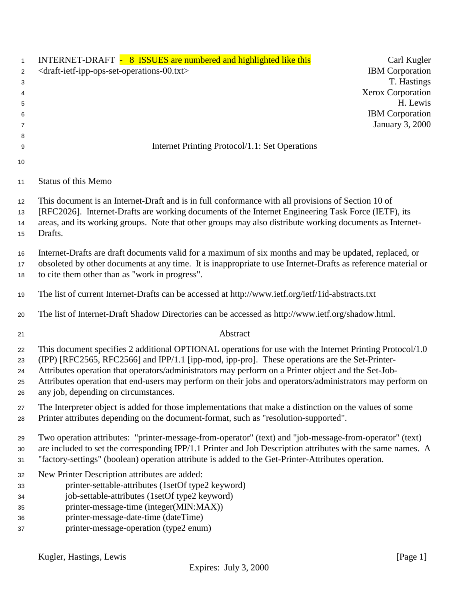| $\mathbf{1}$<br>$\overline{2}$<br>3<br>4<br>5<br>6<br>7 | INTERNET-DRAFT - 8 ISSUES are numbered and highlighted like this<br>Carl Kugler<br><draft-ietf-ipp-ops-set-operations-00.txt><br/><b>IBM</b> Corporation<br/>T. Hastings<br/><b>Xerox Corporation</b><br/>H. Lewis<br/><b>IBM</b> Corporation<br/><b>January 3, 2000</b></draft-ietf-ipp-ops-set-operations-00.txt>                                                                                                                                                    |
|---------------------------------------------------------|------------------------------------------------------------------------------------------------------------------------------------------------------------------------------------------------------------------------------------------------------------------------------------------------------------------------------------------------------------------------------------------------------------------------------------------------------------------------|
| 8<br>9                                                  | Internet Printing Protocol/1.1: Set Operations                                                                                                                                                                                                                                                                                                                                                                                                                         |
| 10                                                      |                                                                                                                                                                                                                                                                                                                                                                                                                                                                        |
| 11                                                      | Status of this Memo                                                                                                                                                                                                                                                                                                                                                                                                                                                    |
| 12<br>13<br>14<br>15                                    | This document is an Internet-Draft and is in full conformance with all provisions of Section 10 of<br>[RFC2026]. Internet-Drafts are working documents of the Internet Engineering Task Force (IETF), its<br>areas, and its working groups. Note that other groups may also distribute working documents as Internet-<br>Drafts.                                                                                                                                       |
| 16<br>17<br>18                                          | Internet-Drafts are draft documents valid for a maximum of six months and may be updated, replaced, or<br>obsoleted by other documents at any time. It is inappropriate to use Internet-Drafts as reference material or<br>to cite them other than as "work in progress".                                                                                                                                                                                              |
| 19                                                      | The list of current Internet-Drafts can be accessed at http://www.ietf.org/ietf/1id-abstracts.txt                                                                                                                                                                                                                                                                                                                                                                      |
| 20                                                      | The list of Internet-Draft Shadow Directories can be accessed as http://www.ietf.org/shadow.html.                                                                                                                                                                                                                                                                                                                                                                      |
| 21                                                      | Abstract                                                                                                                                                                                                                                                                                                                                                                                                                                                               |
| 22<br>23<br>24<br>25<br>26                              | This document specifies 2 additional OPTIONAL operations for use with the Internet Printing Protocol/1.0<br>(IPP) [RFC2565, RFC2566] and IPP/1.1 [ipp-mod, ipp-pro]. These operations are the Set-Printer-<br>Attributes operation that operators/administrators may perform on a Printer object and the Set-Job-<br>Attributes operation that end-users may perform on their jobs and operators/administrators may perform on<br>any job, depending on circumstances. |
| 27<br>28                                                | The Interpreter object is added for those implementations that make a distinction on the values of some<br>Printer attributes depending on the document-format, such as "resolution-supported".                                                                                                                                                                                                                                                                        |
| 29<br>30<br>31                                          | Two operation attributes: "printer-message-from-operator" (text) and "job-message-from-operator" (text)<br>are included to set the corresponding IPP/1.1 Printer and Job Description attributes with the same names. A<br>"factory-settings" (boolean) operation attribute is added to the Get-Printer-Attributes operation.                                                                                                                                           |
| 32<br>33<br>34<br>35<br>36<br>37                        | New Printer Description attributes are added:<br>printer-settable-attributes (1setOf type2 keyword)<br>job-settable-attributes (1setOf type2 keyword)<br>printer-message-time (integer(MIN:MAX))<br>printer-message-date-time (dateTime)<br>printer-message-operation (type2 enum)                                                                                                                                                                                     |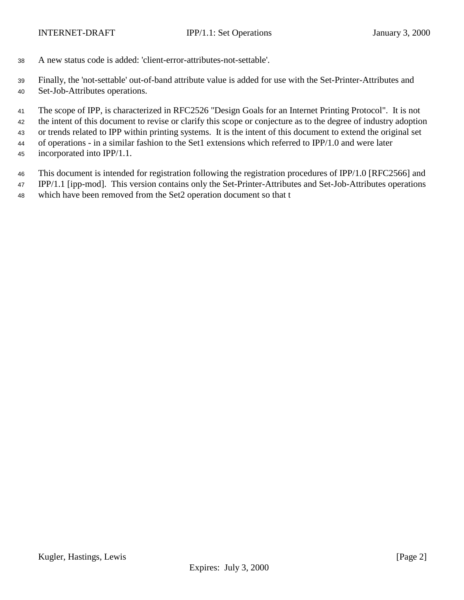A new status code is added: 'client-error-attributes-not-settable'.

Finally, the 'not-settable' out-of-band attribute value is added for use with the Set-Printer-Attributes and

Set-Job-Attributes operations.

 The scope of IPP, is characterized in RFC2526 "Design Goals for an Internet Printing Protocol". It is not the intent of this document to revise or clarify this scope or conjecture as to the degree of industry adoption or trends related to IPP within printing systems. It is the intent of this document to extend the original set of operations - in a similar fashion to the Set1 extensions which referred to IPP/1.0 and were later incorporated into IPP/1.1.

This document is intended for registration following the registration procedures of IPP/1.0 [RFC2566] and

IPP/1.1 [ipp-mod]. This version contains only the Set-Printer-Attributes and Set-Job-Attributes operations

which have been removed from the Set2 operation document so that t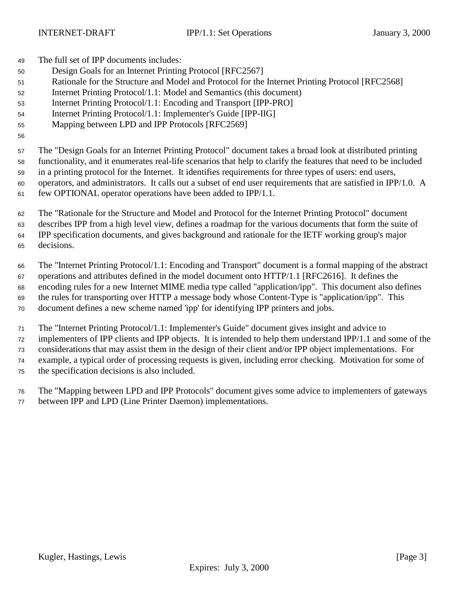The full set of IPP documents includes:

- Design Goals for an Internet Printing Protocol [RFC2567]
- Rationale for the Structure and Model and Protocol for the Internet Printing Protocol [RFC2568]
- Internet Printing Protocol/1.1: Model and Semantics (this document)
- Internet Printing Protocol/1.1: Encoding and Transport [IPP-PRO]
- Internet Printing Protocol/1.1: Implementer's Guide [IPP-IIG]
- Mapping between LPD and IPP Protocols [RFC2569]

 The "Design Goals for an Internet Printing Protocol" document takes a broad look at distributed printing functionality, and it enumerates real-life scenarios that help to clarify the features that need to be included in a printing protocol for the Internet. It identifies requirements for three types of users: end users, operators, and administrators. It calls out a subset of end user requirements that are satisfied in IPP/1.0. A few OPTIONAL operator operations have been added to IPP/1.1.

 The "Rationale for the Structure and Model and Protocol for the Internet Printing Protocol" document describes IPP from a high level view, defines a roadmap for the various documents that form the suite of IPP specification documents, and gives background and rationale for the IETF working group's major decisions.

 The "Internet Printing Protocol/1.1: Encoding and Transport" document is a formal mapping of the abstract operations and attributes defined in the model document onto HTTP/1.1 [RFC2616]. It defines the encoding rules for a new Internet MIME media type called "application/ipp". This document also defines the rules for transporting over HTTP a message body whose Content-Type is "application/ipp". This document defines a new scheme named 'ipp' for identifying IPP printers and jobs.

The "Internet Printing Protocol/1.1: Implementer's Guide" document gives insight and advice to

 implementers of IPP clients and IPP objects. It is intended to help them understand IPP/1.1 and some of the considerations that may assist them in the design of their client and/or IPP object implementations. For

example, a typical order of processing requests is given, including error checking. Motivation for some of

the specification decisions is also included.

 The "Mapping between LPD and IPP Protocols" document gives some advice to implementers of gateways between IPP and LPD (Line Printer Daemon) implementations.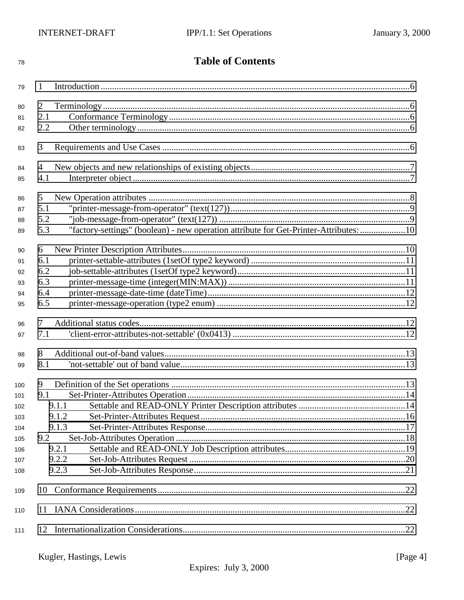| 78  |                 | <b>Table of Contents</b>                                                              |  |
|-----|-----------------|---------------------------------------------------------------------------------------|--|
| 79  | $\mathbf{1}$    |                                                                                       |  |
| 80  | 2               |                                                                                       |  |
| 81  | 2.1             |                                                                                       |  |
| 82  | 2.2             |                                                                                       |  |
|     |                 |                                                                                       |  |
| 83  | 3               |                                                                                       |  |
| 84  | 4               |                                                                                       |  |
| 85  | 4.1             |                                                                                       |  |
| 86  | 5               |                                                                                       |  |
| 87  | 5.1             |                                                                                       |  |
| 88  | 5.2             |                                                                                       |  |
| 89  | 5.3             | "factory-settings" (boolean) - new operation attribute for Get-Printer-Attributes: 10 |  |
| 90  | 6               |                                                                                       |  |
| 91  | 6.1             |                                                                                       |  |
| 92  | 6.2             |                                                                                       |  |
| 93  | 6.3             |                                                                                       |  |
| 94  | 6.4             |                                                                                       |  |
| 95  | 6.5             |                                                                                       |  |
| 96  | 7               |                                                                                       |  |
| 97  | 7.1             |                                                                                       |  |
| 98  | 8               |                                                                                       |  |
| 99  | 8.1             |                                                                                       |  |
| 100 | 9               |                                                                                       |  |
| 101 | 9.1             |                                                                                       |  |
| 102 |                 | 9.1.1                                                                                 |  |
| 103 |                 | 9.1.2                                                                                 |  |
| 104 |                 | 9.1.3                                                                                 |  |
| 105 | 9.2             |                                                                                       |  |
| 106 |                 | 9.2.1                                                                                 |  |
| 107 |                 | 9.2.2                                                                                 |  |
| 108 |                 | 9.2.3                                                                                 |  |
| 109 | 10 <sup>1</sup> |                                                                                       |  |
| 110 |                 |                                                                                       |  |
| 111 |                 |                                                                                       |  |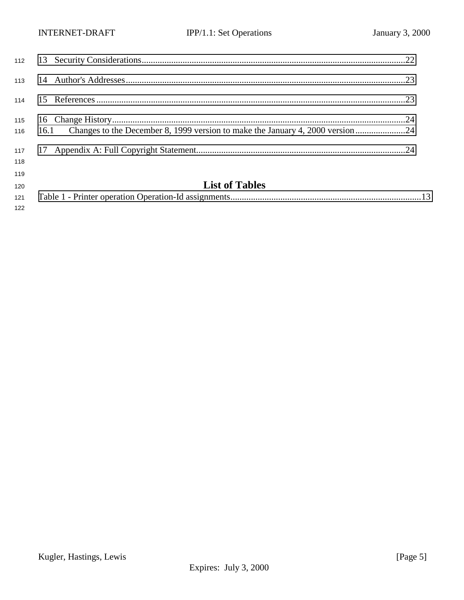| 115<br>116 | 16.1 Changes to the December 8, 1999 version to make the January 4, 2000 version24 |  |
|------------|------------------------------------------------------------------------------------|--|
| 117<br>118 |                                                                                    |  |
| 119<br>120 | <b>List of Tables</b>                                                              |  |
| 121        |                                                                                    |  |

Kugler, Hastings, Lewis [Page 5] Expires: July 3, 2000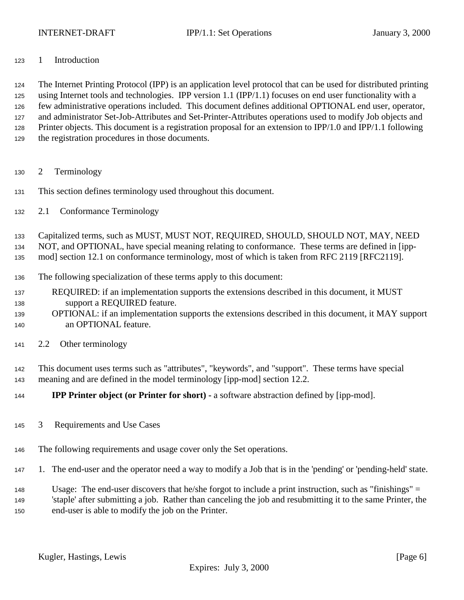<span id="page-5-0"></span>

## 1 Introduction

 The Internet Printing Protocol (IPP) is an application level protocol that can be used for distributed printing using Internet tools and technologies. IPP version 1.1 (IPP/1.1) focuses on end user functionality with a few administrative operations included. This document defines additional OPTIONAL end user, operator, and administrator Set-Job-Attributes and Set-Printer-Attributes operations used to modify Job objects and Printer objects. This document is a registration proposal for an extension to IPP/1.0 and IPP/1.1 following the registration procedures in those documents.

- 2 Terminology
- This section defines terminology used throughout this document.
- 2.1 Conformance Terminology

Capitalized terms, such as MUST, MUST NOT, REQUIRED, SHOULD, SHOULD NOT, MAY, NEED

NOT, and OPTIONAL, have special meaning relating to conformance. These terms are defined in [ipp-

mod] section 12.1 on conformance terminology, most of which is taken from RFC 2119 [RFC2119].

- The following specialization of these terms apply to this document:
- REQUIRED: if an implementation supports the extensions described in this document, it MUST support a REQUIRED feature.
- OPTIONAL: if an implementation supports the extensions described in this document, it MAY support an OPTIONAL feature.
- 2.2 Other terminology

 This document uses terms such as "attributes", "keywords", and "support". These terms have special meaning and are defined in the model terminology [ipp-mod] section 12.2.

- **IPP Printer object (or Printer for short)** a software abstraction defined by [ipp-mod].
- 3 Requirements and Use Cases
- The following requirements and usage cover only the Set operations.
- 1. The end-user and the operator need a way to modify a Job that is in the 'pending' or 'pending-held' state.
- Usage: The end-user discovers that he/she forgot to include a print instruction, such as "finishings" = 'staple' after submitting a job. Rather than canceling the job and resubmitting it to the same Printer, the end-user is able to modify the job on the Printer.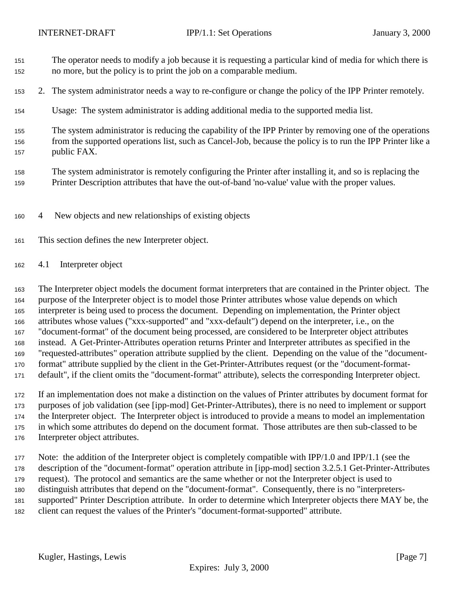- <span id="page-6-0"></span> The operator needs to modify a job because it is requesting a particular kind of media for which there is no more, but the policy is to print the job on a comparable medium.
- 2. The system administrator needs a way to re-configure or change the policy of the IPP Printer remotely.
- Usage: The system administrator is adding additional media to the supported media list.

 The system administrator is reducing the capability of the IPP Printer by removing one of the operations from the supported operations list, such as Cancel-Job, because the policy is to run the IPP Printer like a public FAX.

- The system administrator is remotely configuring the Printer after installing it, and so is replacing the Printer Description attributes that have the out-of-band 'no-value' value with the proper values.
- 4 New objects and new relationships of existing objects
- This section defines the new Interpreter object.
- 4.1 Interpreter object

 The Interpreter object models the document format interpreters that are contained in the Printer object. The purpose of the Interpreter object is to model those Printer attributes whose value depends on which interpreter is being used to process the document. Depending on implementation, the Printer object attributes whose values ("xxx-supported" and "xxx-default") depend on the interpreter, i.e., on the "document-format" of the document being processed, are considered to be Interpreter object attributes instead. A Get-Printer-Attributes operation returns Printer and Interpreter attributes as specified in the "requested-attributes" operation attribute supplied by the client. Depending on the value of the "document- format" attribute supplied by the client in the Get-Printer-Attributes request (or the "document-format-default", if the client omits the "document-format" attribute), selects the corresponding Interpreter object.

 If an implementation does not make a distinction on the values of Printer attributes by document format for purposes of job validation (see [ipp-mod] Get-Printer-Attributes), there is no need to implement or support the Interpreter object. The Interpreter object is introduced to provide a means to model an implementation in which some attributes do depend on the document format. Those attributes are then sub-classed to be Interpreter object attributes.

 Note: the addition of the Interpreter object is completely compatible with IPP/1.0 and IPP/1.1 (see the description of the "document-format" operation attribute in [ipp-mod] section 3.2.5.1 Get-Printer-Attributes request). The protocol and semantics are the same whether or not the Interpreter object is used to distinguish attributes that depend on the "document-format". Consequently, there is no "interpreters- supported" Printer Description attribute. In order to determine which Interpreter objects there MAY be, the client can request the values of the Printer's "document-format-supported" attribute.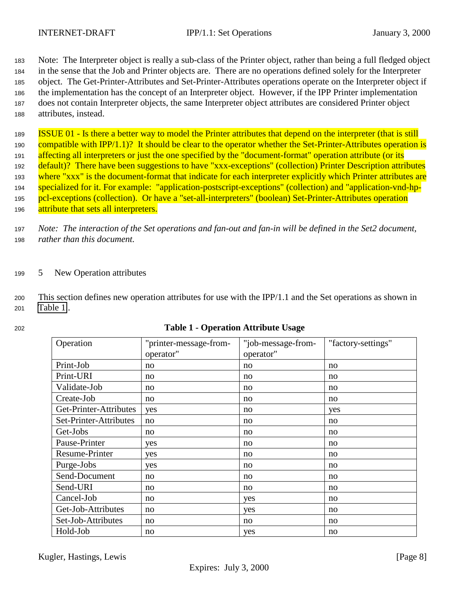<span id="page-7-0"></span>

 Note: The Interpreter object is really a sub-class of the Printer object, rather than being a full fledged object in the sense that the Job and Printer objects are. There are no operations defined solely for the Interpreter object. The Get-Printer-Attributes and Set-Printer-Attributes operations operate on the Interpreter object if the implementation has the concept of an Interpreter object. However, if the IPP Printer implementation does not contain Interpreter objects, the same Interpreter object attributes are considered Printer object attributes, instead.

<sup>189</sup> ISSUE 01 - Is there a better way to model the Printer attributes that depend on the interpreter (that is still 190 compatible with IPP/1.1)? It should be clear to the operator whether the Set-Printer-Attributes operation is 191 affecting all interpreters or just the one specified by the "document-format" operation attribute (or its <sup>192</sup> default)? There have been suggestions to have "xxx-exceptions" (collection) Printer Description attributes 193 where "xxx" is the document-format that indicate for each interpreter explicitly which Printer attributes are <sup>194</sup> specialized for it. For example: "application-postscript-exceptions" (collection) and "application-vnd-hp-195 pcl-exceptions (collection). Or have a "set-all-interpreters" (boolean) Set-Printer-Attributes operation 196 attribute that sets all interpreters.

<sup>197</sup> *Note: The interaction of the Set operations and fan-out and fan-in will be defined in the Set2 document,* <sup>198</sup> *rather than this document.*

## <sup>199</sup> 5 New Operation attributes

<sup>200</sup> This section defines new operation attributes for use with the IPP/1.1 and the Set operations as shown in <sup>201</sup> Table 1..

| Operation              | "printer-message-from- | "job-message-from- | "factory-settings" |
|------------------------|------------------------|--------------------|--------------------|
|                        | operator"              | operator"          |                    |
| Print-Job              | no                     | no                 | no                 |
| Print-URI              | no                     | no                 | no                 |
| Validate-Job           | no                     | no                 | no                 |
| Create-Job             | no                     | no                 | no                 |
| Get-Printer-Attributes | yes                    | no                 | yes                |
| Set-Printer-Attributes | no                     | no                 | no                 |
| Get-Jobs               | no                     | no                 | no                 |
| Pause-Printer          | yes                    | no                 | no                 |
| <b>Resume-Printer</b>  | yes                    | no                 | no                 |
| Purge-Jobs             | yes                    | no                 | no                 |
| Send-Document          | no                     | no                 | no                 |
| Send-URI               | no                     | no                 | no                 |
| Cancel-Job             | no                     | yes                | no                 |
| Get-Job-Attributes     | no                     | yes                | no                 |
| Set-Job-Attributes     | no                     | no                 | no                 |
| Hold-Job               | no                     | yes                | no                 |

## <sup>202</sup> **Table 1 - Operation Attribute Usage**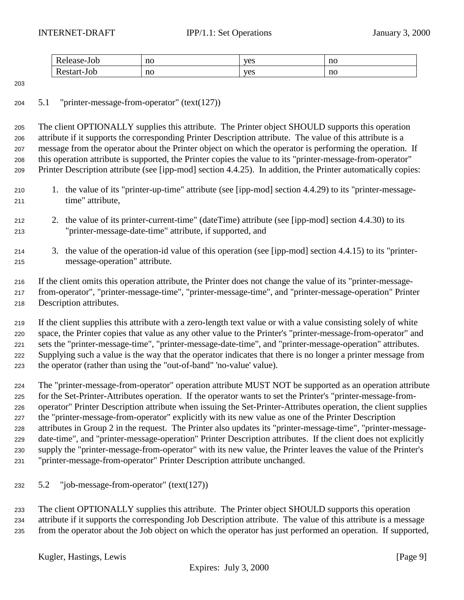<span id="page-8-0"></span>

| Pelease-Jul                       | no<br>___ | yes | no<br>__ |
|-----------------------------------|-----------|-----|----------|
| D<br>t-Job<br>Restar <sup>*</sup> | no        | yes | no       |

# 5.1 "printer-message-from-operator" (text(127))

 The client OPTIONALLY supplies this attribute. The Printer object SHOULD supports this operation attribute if it supports the corresponding Printer Description attribute. The value of this attribute is a message from the operator about the Printer object on which the operator is performing the operation. If this operation attribute is supported, the Printer copies the value to its "printer-message-from-operator" Printer Description attribute (see [ipp-mod] section 4.4.25). In addition, the Printer automatically copies:

- 1. the value of its "printer-up-time" attribute (see [ipp-mod] section 4.4.29) to its "printer-message-time" attribute,
- 2. the value of its printer-current-time" (dateTime) attribute (see [ipp-mod] section 4.4.30) to its "printer-message-date-time" attribute, if supported, and
- 3. the value of the operation-id value of this operation (see [ipp-mod] section 4.4.15) to its "printer-message-operation" attribute.

 If the client omits this operation attribute, the Printer does not change the value of its "printer-message- from-operator", "printer-message-time", "printer-message-time", and "printer-message-operation" Printer Description attributes.

 If the client supplies this attribute with a zero-length text value or with a value consisting solely of white space, the Printer copies that value as any other value to the Printer's "printer-message-from-operator" and sets the "printer-message-time", "printer-message-date-time", and "printer-message-operation" attributes. Supplying such a value is the way that the operator indicates that there is no longer a printer message from the operator (rather than using the "out-of-band" 'no-value' value).

 The "printer-message-from-operator" operation attribute MUST NOT be supported as an operation attribute for the Set-Printer-Attributes operation. If the operator wants to set the Printer's "printer-message-from- operator" Printer Description attribute when issuing the Set-Printer-Attributes operation, the client supplies the "printer-message-from-operator" explicitly with its new value as one of the Printer Description attributes in Group 2 in the request. The Printer also updates its "printer-message-time", "printer-message- date-time", and "printer-message-operation" Printer Description attributes. If the client does not explicitly supply the "printer-message-from-operator" with its new value, the Printer leaves the value of the Printer's "printer-message-from-operator" Printer Description attribute unchanged.

5.2 "job-message-from-operator" (text(127))

 The client OPTIONALLY supplies this attribute. The Printer object SHOULD supports this operation attribute if it supports the corresponding Job Description attribute. The value of this attribute is a message from the operator about the Job object on which the operator has just performed an operation. If supported,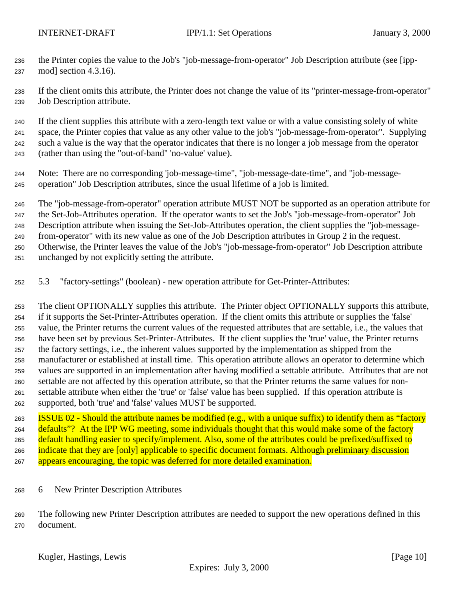<span id="page-9-0"></span> the Printer copies the value to the Job's "job-message-from-operator" Job Description attribute (see [ipp-mod] section 4.3.16).

 If the client omits this attribute, the Printer does not change the value of its "printer-message-from-operator" Job Description attribute.

 If the client supplies this attribute with a zero-length text value or with a value consisting solely of white space, the Printer copies that value as any other value to the job's "job-message-from-operator". Supplying such a value is the way that the operator indicates that there is no longer a job message from the operator (rather than using the "out-of-band" 'no-value' value).

 Note: There are no corresponding 'job-message-time", "job-message-date-time", and "job-message-operation" Job Description attributes, since the usual lifetime of a job is limited.

 The "job-message-from-operator" operation attribute MUST NOT be supported as an operation attribute for the Set-Job-Attributes operation. If the operator wants to set the Job's "job-message-from-operator" Job Description attribute when issuing the Set-Job-Attributes operation, the client supplies the "job-message- from-operator" with its new value as one of the Job Description attributes in Group 2 in the request. Otherwise, the Printer leaves the value of the Job's "job-message-from-operator" Job Description attribute unchanged by not explicitly setting the attribute.

5.3 "factory-settings" (boolean) - new operation attribute for Get-Printer-Attributes:

 The client OPTIONALLY supplies this attribute. The Printer object OPTIONALLY supports this attribute, if it supports the Set-Printer-Attributes operation. If the client omits this attribute or supplies the 'false' value, the Printer returns the current values of the requested attributes that are settable, i.e., the values that have been set by previous Set-Printer-Attributes. If the client supplies the 'true' value, the Printer returns the factory settings, i.e., the inherent values supported by the implementation as shipped from the manufacturer or established at install time. This operation attribute allows an operator to determine which values are supported in an implementation after having modified a settable attribute. Attributes that are not settable are not affected by this operation attribute, so that the Printer returns the same values for non- settable attribute when either the 'true' or 'false' value has been supplied. If this operation attribute is supported, both 'true' and 'false' values MUST be supported.

 ISSUE 02 - Should the attribute names be modified (e.g., with a unique suffix) to identify them as "factory 264 defaults"? At the IPP WG meeting, some individuals thought that this would make some of the factory 265 default handling easier to specify/implement. Also, some of the attributes could be prefixed/suffixed to 266 indicate that they are [only] applicable to specific document formats. Although preliminary discussion 267 appears encouraging, the topic was deferred for more detailed examination.

6 New Printer Description Attributes

 The following new Printer Description attributes are needed to support the new operations defined in this document.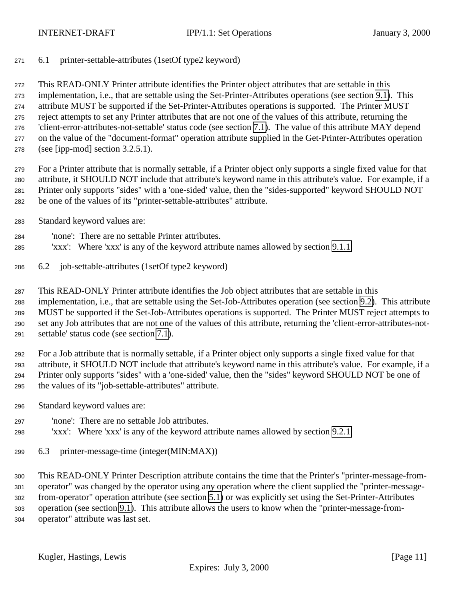<span id="page-10-0"></span>6.1 printer-settable-attributes (1setOf type2 keyword)

 This READ-ONLY Printer attribute identifies the Printer object attributes that are settable in this implementation, i.e., that are settable using the Set-Printer-Attributes operations (see section [9.1\)](#page-13-0). This attribute MUST be supported if the Set-Printer-Attributes operations is supported. The Printer MUST reject attempts to set any Printer attributes that are not one of the values of this attribute, returning the 'client-error-attributes-not-settable' status code (see section [7.1\)](#page-11-0). The value of this attribute MAY depend on the value of the "document-format" operation attribute supplied in the Get-Printer-Attributes operation (see [ipp-mod] section 3.2.5.1).

 For a Printer attribute that is normally settable, if a Printer object only supports a single fixed value for that attribute, it SHOULD NOT include that attribute's keyword name in this attribute's value. For example, if a Printer only supports "sides" with a 'one-sided' value, then the "sides-supported" keyword SHOULD NOT be one of the values of its "printer-settable-attributes" attribute.

- Standard keyword values are:
- 'none': There are no settable Printer attributes.
- 'xxx': Where 'xxx' is any of the keyword attribute names allowed by section [9.1.1](#page-13-0)
- 6.2 job-settable-attributes (1setOf type2 keyword)

 This READ-ONLY Printer attribute identifies the Job object attributes that are settable in this implementation, i.e., that are settable using the Set-Job-Attributes operation (see section [9.2\)](#page-17-0). This attribute MUST be supported if the Set-Job-Attributes operations is supported. The Printer MUST reject attempts to set any Job attributes that are not one of the values of this attribute, returning the 'client-error-attributes-not-settable' status code (see section [7.1\)](#page-11-0).

 For a Job attribute that is normally settable, if a Printer object only supports a single fixed value for that attribute, it SHOULD NOT include that attribute's keyword name in this attribute's value. For example, if a Printer only supports "sides" with a 'one-sided' value, then the "sides" keyword SHOULD NOT be one of the values of its "job-settable-attributes" attribute.

- Standard keyword values are:
- 'none': There are no settable Job attributes.
- 'xxx': Where 'xxx' is any of the keyword attribute names allowed by section [9.2.1](#page-18-0)
- 6.3 printer-message-time (integer(MIN:MAX))

 This READ-ONLY Printer Description attribute contains the time that the Printer's "printer-message-from- operator" was changed by the operator using any operation where the client supplied the "printer-message- from-operator" operation attribute (see section [5.1\)](#page-8-0) or was explicitly set using the Set-Printer-Attributes operation (see section [9.1\)](#page-13-0). This attribute allows the users to know when the "printer-message-from-operator" attribute was last set.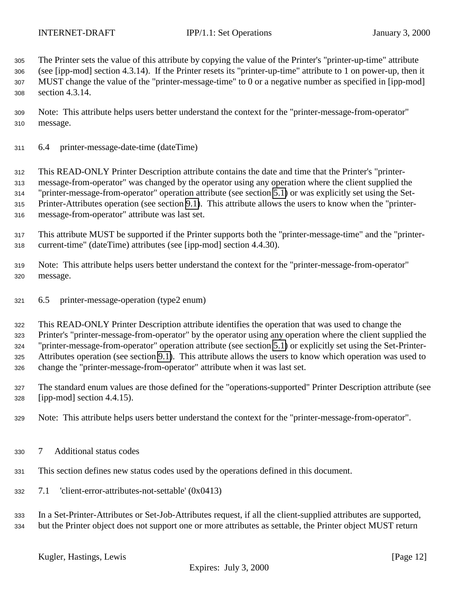<span id="page-11-0"></span>The Printer sets the value of this attribute by copying the value of the Printer's "printer-up-time" attribute

 (see [ipp-mod] section 4.3.14). If the Printer resets its "printer-up-time" attribute to 1 on power-up, then it MUST change the value of the "printer-message-time" to 0 or a negative number as specified in [ipp-mod] section 4.3.14.

- Note: This attribute helps users better understand the context for the "printer-message-from-operator" message.
- 6.4 printer-message-date-time (dateTime)

 This READ-ONLY Printer Description attribute contains the date and time that the Printer's "printer- message-from-operator" was changed by the operator using any operation where the client supplied the "printer-message-from-operator" operation attribute (see section [5.1\)](#page-8-0) or was explicitly set using the Set-Printer-Attributes operation (see section [9.1\)](#page-13-0). This attribute allows the users to know when the "printer-

- message-from-operator" attribute was last set.
- This attribute MUST be supported if the Printer supports both the "printer-message-time" and the "printer-current-time" (dateTime) attributes (see [ipp-mod] section 4.4.30).
- Note: This attribute helps users better understand the context for the "printer-message-from-operator" message.
- 6.5 printer-message-operation (type2 enum)

 This READ-ONLY Printer Description attribute identifies the operation that was used to change the Printer's "printer-message-from-operator" by the operator using any operation where the client supplied the "printer-message-from-operator" operation attribute (see section [5.1\)](#page-8-0) or explicitly set using the Set-Printer- Attributes operation (see section [9.1\)](#page-13-0). This attribute allows the users to know which operation was used to change the "printer-message-from-operator" attribute when it was last set.

- The standard enum values are those defined for the "operations-supported" Printer Description attribute (see [ipp-mod] section 4.4.15).
- Note: This attribute helps users better understand the context for the "printer-message-from-operator".
- 7 Additional status codes
- This section defines new status codes used by the operations defined in this document.
- 7.1 'client-error-attributes-not-settable' (0x0413)

 In a Set-Printer-Attributes or Set-Job-Attributes request, if all the client-supplied attributes are supported, but the Printer object does not support one or more attributes as settable, the Printer object MUST return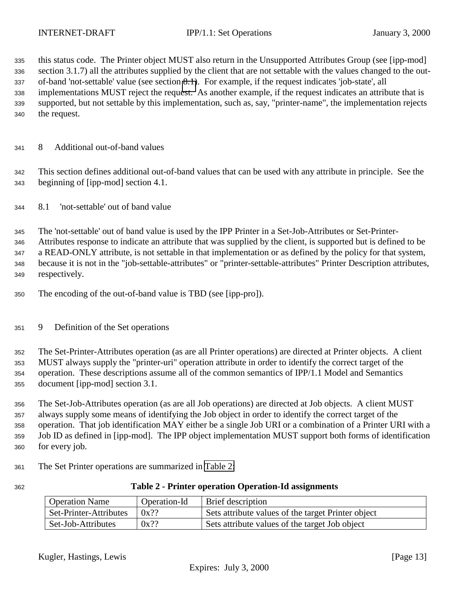<span id="page-12-0"></span> this status code. The Printer object MUST also return in the Unsupported Attributes Group (see [ipp-mod] section 3.1.7) all the attributes supplied by the client that are not settable with the values changed to the out- of-band 'not-settable' value (see section 8.1). For example, if the request indicates 'job-state', all implementations MUST reject the request. As another example, if the request indicates an attribute that is supported, but not settable by this implementation, such as, say, "printer-name", the implementation rejects the request.

8 Additional out-of-band values

 This section defines additional out-of-band values that can be used with any attribute in principle. See the beginning of [ipp-mod] section 4.1.

8.1 'not-settable' out of band value

 The 'not-settable' out of band value is used by the IPP Printer in a Set-Job-Attributes or Set-Printer- Attributes response to indicate an attribute that was supplied by the client, is supported but is defined to be a READ-ONLY attribute, is not settable in that implementation or as defined by the policy for that system, because it is not in the "job-settable-attributes" or "printer-settable-attributes" Printer Description attributes, respectively.

- The encoding of the out-of-band value is TBD (see [ipp-pro]).
- 9 Definition of the Set operations

 The Set-Printer-Attributes operation (as are all Printer operations) are directed at Printer objects. A client MUST always supply the "printer-uri" operation attribute in order to identify the correct target of the operation. These descriptions assume all of the common semantics of IPP/1.1 Model and Semantics document [ipp-mod] section 3.1.

 The Set-Job-Attributes operation (as are all Job operations) are directed at Job objects. A client MUST always supply some means of identifying the Job object in order to identify the correct target of the operation. That job identification MAY either be a single Job URI or a combination of a Printer URI with a Job ID as defined in [ipp-mod]. The IPP object implementation MUST support both forms of identification for every job.

- The Set Printer operations are summarized in Table 2:
- 

| 362 | <b>Table 2 - Printer operation Operation-Id assignments</b> |  |
|-----|-------------------------------------------------------------|--|
|     |                                                             |  |

| <b>Operation Name</b>  | Operation-Id | Brief description                                  |
|------------------------|--------------|----------------------------------------------------|
| Set-Printer-Attributes | $0x$ ??      | Sets attribute values of the target Printer object |
| Set-Job-Attributes     | $0x$ ??      | Sets attribute values of the target Job object     |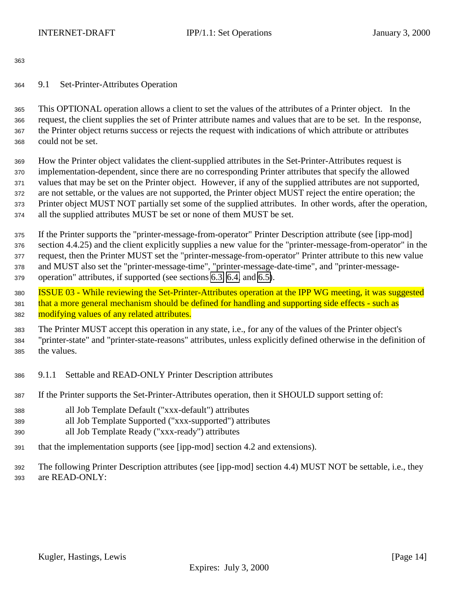<span id="page-13-0"></span>

9.1 Set-Printer-Attributes Operation

 This OPTIONAL operation allows a client to set the values of the attributes of a Printer object. In the request, the client supplies the set of Printer attribute names and values that are to be set. In the response, the Printer object returns success or rejects the request with indications of which attribute or attributes could not be set.

 How the Printer object validates the client-supplied attributes in the Set-Printer-Attributes request is implementation-dependent, since there are no corresponding Printer attributes that specify the allowed values that may be set on the Printer object. However, if any of the supplied attributes are not supported, are not settable, or the values are not supported, the Printer object MUST reject the entire operation; the Printer object MUST NOT partially set some of the supplied attributes. In other words, after the operation, all the supplied attributes MUST be set or none of them MUST be set.

 If the Printer supports the "printer-message-from-operator" Printer Description attribute (see [ipp-mod] section 4.4.25) and the client explicitly supplies a new value for the "printer-message-from-operator" in the request, then the Printer MUST set the "printer-message-from-operator" Printer attribute to this new value and MUST also set the "printer-message-time", "printer-message-date-time", and "printer-message-operation" attributes, if supported (see sections [6.3,](#page-10-0) [6.4,](#page-11-0) and [6.5\)](#page-11-0).

 ISSUE 03 - While reviewing the Set-Printer-Attributes operation at the IPP WG meeting, it was suggested 381 that a more general mechanism should be defined for handling and supporting side effects - such as 382 modifying values of any related attributes.

 The Printer MUST accept this operation in any state, i.e., for any of the values of the Printer object's "printer-state" and "printer-state-reasons" attributes, unless explicitly defined otherwise in the definition of the values.

- 9.1.1 Settable and READ-ONLY Printer Description attributes
- If the Printer supports the Set-Printer-Attributes operation, then it SHOULD support setting of:
- all Job Template Default ("xxx-default") attributes
- all Job Template Supported ("xxx-supported") attributes
- all Job Template Ready ("xxx-ready") attributes
- that the implementation supports (see [ipp-mod] section 4.2 and extensions).
- The following Printer Description attributes (see [ipp-mod] section 4.4) MUST NOT be settable, i.e., they are READ-ONLY: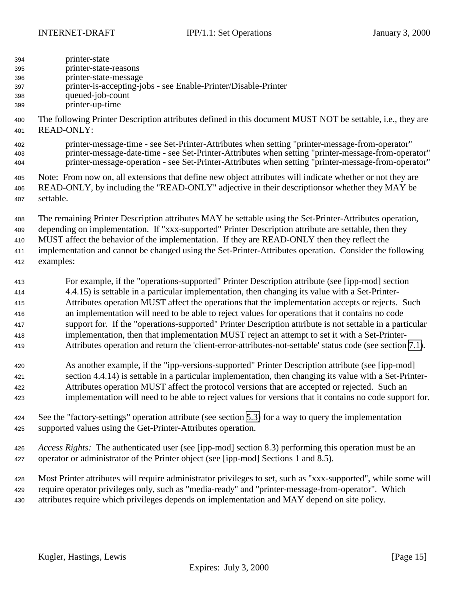| 394 | printer-state                                                  |
|-----|----------------------------------------------------------------|
| 395 | printer-state-reasons                                          |
| 396 | printer-state-message                                          |
| 397 | printer-is-accepting-jobs - see Enable-Printer/Disable-Printer |
| 398 | queued-job-count                                               |

printer-up-time

 The following Printer Description attributes defined in this document MUST NOT be settable, i.e., they are READ-ONLY:

 printer-message-time - see Set-Printer-Attributes when setting "printer-message-from-operator" printer-message-date-time - see Set-Printer-Attributes when setting "printer-message-from-operator" printer-message-operation - see Set-Printer-Attributes when setting "printer-message-from-operator"

 Note: From now on, all extensions that define new object attributes will indicate whether or not they are READ-ONLY, by including the "READ-ONLY" adjective in their descriptionsor whether they MAY be settable.

 The remaining Printer Description attributes MAY be settable using the Set-Printer-Attributes operation, depending on implementation. If "xxx-supported" Printer Description attribute are settable, then they MUST affect the behavior of the implementation. If they are READ-ONLY then they reflect the implementation and cannot be changed using the Set-Printer-Attributes operation. Consider the following examples:

 For example, if the "operations-supported" Printer Description attribute (see [ipp-mod] section 4.4.15) is settable in a particular implementation, then changing its value with a Set-Printer- Attributes operation MUST affect the operations that the implementation accepts or rejects. Such an implementation will need to be able to reject values for operations that it contains no code support for. If the "operations-supported" Printer Description attribute is not settable in a particular implementation, then that implementation MUST reject an attempt to set it with a Set-Printer-Attributes operation and return the 'client-error-attributes-not-settable' status code (see section [7.1\)](#page-11-0).

 As another example, if the "ipp-versions-supported" Printer Description attribute (see [ipp-mod] section 4.4.14) is settable in a particular implementation, then changing its value with a Set-Printer- Attributes operation MUST affect the protocol versions that are accepted or rejected. Such an implementation will need to be able to reject values for versions that it contains no code support for.

 See the "factory-settings" operation attribute (see section [5.3\)](#page-9-0) for a way to query the implementation supported values using the Get-Printer-Attributes operation.

 *Access Rights:*The authenticated user (see [ipp-mod] section 8.3) performing this operation must be an operator or administrator of the Printer object (see [ipp-mod] Sections 1 and 8.5).

 Most Printer attributes will require administrator privileges to set, such as "xxx-supported", while some will require operator privileges only, such as "media-ready" and "printer-message-from-operator". Which attributes require which privileges depends on implementation and MAY depend on site policy.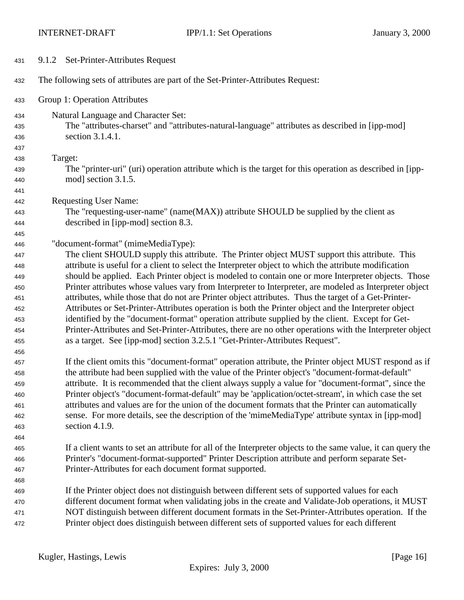<span id="page-15-0"></span>

| 431        | 9.1.2 Set-Printer-Attributes Request                                                                                |
|------------|---------------------------------------------------------------------------------------------------------------------|
| 432        | The following sets of attributes are part of the Set-Printer-Attributes Request:                                    |
| 433        | Group 1: Operation Attributes                                                                                       |
| 434        | Natural Language and Character Set:                                                                                 |
| 435        | The "attributes-charset" and "attributes-natural-language" attributes as described in [ipp-mod]                     |
| 436        | section 3.1.4.1.                                                                                                    |
| 437        |                                                                                                                     |
| 438        | Target:                                                                                                             |
| 439        | The "printer-uri" (uri) operation attribute which is the target for this operation as described in [ipp-            |
| 440        | mod] section 3.1.5.                                                                                                 |
| 441        |                                                                                                                     |
| 442        | <b>Requesting User Name:</b>                                                                                        |
| 443        | The "requesting-user-name" (name(MAX)) attribute SHOULD be supplied by the client as                                |
| 444        | described in [ipp-mod] section 8.3.                                                                                 |
| 445        |                                                                                                                     |
| 446        | "document-format" (mimeMediaType):                                                                                  |
| 447        | The client SHOULD supply this attribute. The Printer object MUST support this attribute. This                       |
| 448        | attribute is useful for a client to select the Interpreter object to which the attribute modification               |
| 449        | should be applied. Each Printer object is modeled to contain one or more Interpreter objects. Those                 |
| 450        | Printer attributes whose values vary from Interpreter to Interpreter, are modeled as Interpreter object             |
| 451        | attributes, while those that do not are Printer object attributes. Thus the target of a Get-Printer-                |
| 452        | Attributes or Set-Printer-Attributes operation is both the Printer object and the Interpreter object                |
| 453        | identified by the "document-format" operation attribute supplied by the client. Except for Get-                     |
| 454        | Printer-Attributes and Set-Printer-Attributes, there are no other operations with the Interpreter object            |
| 455        | as a target. See [ipp-mod] section 3.2.5.1 "Get-Printer-Attributes Request".                                        |
| 456        |                                                                                                                     |
| 457        | If the client omits this "document-format" operation attribute, the Printer object MUST respond as if               |
| 458        | the attribute had been supplied with the value of the Printer object's "document-format-default"                    |
| 459        | attribute. It is recommended that the client always supply a value for "document-format", since the                 |
| 460        | Printer object's "document-format-default" may be 'application/octet-stream', in which case the set                 |
| 461        | attributes and values are for the union of the document formats that the Printer can automatically                  |
| 462        | sense. For more details, see the description of the 'mimeMediaType' attribute syntax in [ipp-mod]<br>section 4.1.9. |
| 463        |                                                                                                                     |
| 464        | If a client wants to set an attribute for all of the Interpreter objects to the same value, it can query the        |
| 465        | Printer's "document-format-supported" Printer Description attribute and perform separate Set-                       |
| 466        | Printer-Attributes for each document format supported.                                                              |
| 467        |                                                                                                                     |
| 468<br>469 | If the Printer object does not distinguish between different sets of supported values for each                      |
| 470        | different document format when validating jobs in the create and Validate-Job operations, it MUST                   |
| 471        | NOT distinguish between different document formats in the Set-Printer-Attributes operation. If the                  |
| 472        | Printer object does distinguish between different sets of supported values for each different                       |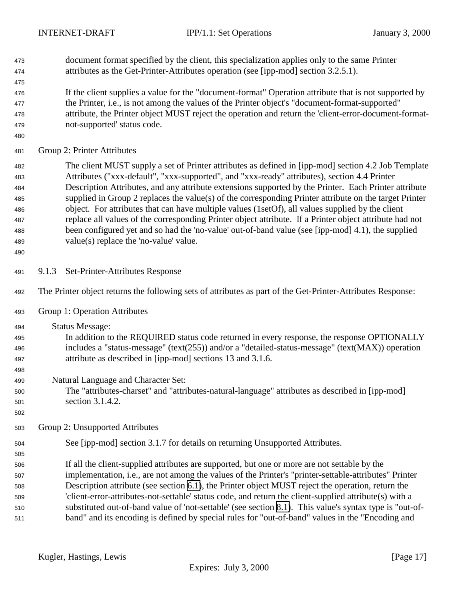<span id="page-16-0"></span>

| 473<br>474<br>475                                           | document format specified by the client, this specialization applies only to the same Printer<br>attributes as the Get-Printer-Attributes operation (see [ipp-mod] section 3.2.5.1).                                                                                                                                                                                                                                                                                                                                                                                                                                                                                                                                                                                                 |
|-------------------------------------------------------------|--------------------------------------------------------------------------------------------------------------------------------------------------------------------------------------------------------------------------------------------------------------------------------------------------------------------------------------------------------------------------------------------------------------------------------------------------------------------------------------------------------------------------------------------------------------------------------------------------------------------------------------------------------------------------------------------------------------------------------------------------------------------------------------|
| 476<br>477<br>478<br>479<br>480                             | If the client supplies a value for the "document-format" Operation attribute that is not supported by<br>the Printer, i.e., is not among the values of the Printer object's "document-format-supported"<br>attribute, the Printer object MUST reject the operation and return the 'client-error-document-format-<br>not-supported' status code.                                                                                                                                                                                                                                                                                                                                                                                                                                      |
| 481                                                         | Group 2: Printer Attributes                                                                                                                                                                                                                                                                                                                                                                                                                                                                                                                                                                                                                                                                                                                                                          |
| 482<br>483<br>484<br>485<br>486<br>487<br>488<br>489<br>490 | The client MUST supply a set of Printer attributes as defined in [ipp-mod] section 4.2 Job Template<br>Attributes ("xxx-default", "xxx-supported", and "xxx-ready" attributes), section 4.4 Printer<br>Description Attributes, and any attribute extensions supported by the Printer. Each Printer attribute<br>supplied in Group 2 replaces the value(s) of the corresponding Printer attribute on the target Printer<br>object. For attributes that can have multiple values (1setOf), all values supplied by the client<br>replace all values of the corresponding Printer object attribute. If a Printer object attribute had not<br>been configured yet and so had the 'no-value' out-of-band value (see [ipp-mod] 4.1), the supplied<br>value(s) replace the 'no-value' value. |
| 491                                                         | Set-Printer-Attributes Response<br>9.1.3                                                                                                                                                                                                                                                                                                                                                                                                                                                                                                                                                                                                                                                                                                                                             |
| 492                                                         | The Printer object returns the following sets of attributes as part of the Get-Printer-Attributes Response:                                                                                                                                                                                                                                                                                                                                                                                                                                                                                                                                                                                                                                                                          |
| 493                                                         | Group 1: Operation Attributes                                                                                                                                                                                                                                                                                                                                                                                                                                                                                                                                                                                                                                                                                                                                                        |
| 494<br>495<br>496<br>497<br>498<br>499                      | <b>Status Message:</b><br>In addition to the REQUIRED status code returned in every response, the response OPTIONALLY<br>includes a "status-message" (text(255)) and/or a "detailed-status-message" (text(MAX)) operation<br>attribute as described in [ipp-mod] sections 13 and 3.1.6.<br>Natural Language and Character Set:                                                                                                                                                                                                                                                                                                                                                                                                                                                       |
| 500<br>501<br>502                                           | The "attributes-charset" and "attributes-natural-language" attributes as described in [ipp-mod]<br>section 3.1.4.2.                                                                                                                                                                                                                                                                                                                                                                                                                                                                                                                                                                                                                                                                  |
| 503                                                         | Group 2: Unsupported Attributes                                                                                                                                                                                                                                                                                                                                                                                                                                                                                                                                                                                                                                                                                                                                                      |
| 504<br>505<br>506<br>507<br>508<br>509<br>510<br>511        | See [ipp-mod] section 3.1.7 for details on returning Unsupported Attributes.<br>If all the client-supplied attributes are supported, but one or more are not settable by the<br>implementation, i.e., are not among the values of the Printer's "printer-settable-attributes" Printer<br>Description attribute (see section 6.1), the Printer object MUST reject the operation, return the<br>'client-error-attributes-not-settable' status code, and return the client-supplied attribute(s) with a<br>substituted out-of-band value of 'not-settable' (see section 8.1). This value's syntax type is "out-of-<br>band" and its encoding is defined by special rules for "out-of-band" values in the "Encoding and                                                                  |
|                                                             | Kugler, Hastings, Lewis<br>[Page $17$ ]<br>Expires: July 3, 2000                                                                                                                                                                                                                                                                                                                                                                                                                                                                                                                                                                                                                                                                                                                     |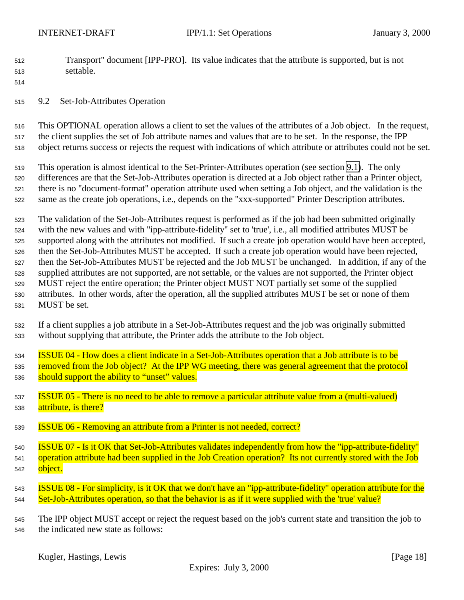- <span id="page-17-0"></span> Transport" document [IPP-PRO]. Its value indicates that the attribute is supported, but is not settable.
- 

9.2 Set-Job-Attributes Operation

 This OPTIONAL operation allows a client to set the values of the attributes of a Job object. In the request, the client supplies the set of Job attribute names and values that are to be set. In the response, the IPP object returns success or rejects the request with indications of which attribute or attributes could not be set.

 This operation is almost identical to the Set-Printer-Attributes operation (see section [9.1\)](#page-13-0). The only differences are that the Set-Job-Attributes operation is directed at a Job object rather than a Printer object, there is no "document-format" operation attribute used when setting a Job object, and the validation is the same as the create job operations, i.e., depends on the "xxx-supported" Printer Description attributes.

 The validation of the Set-Job-Attributes request is performed as if the job had been submitted originally with the new values and with "ipp-attribute-fidelity" set to 'true', i.e., all modified attributes MUST be supported along with the attributes not modified. If such a create job operation would have been accepted, then the Set-Job-Attributes MUST be accepted. If such a create job operation would have been rejected, then the Set-Job-Attributes MUST be rejected and the Job MUST be unchanged. In addition, if any of the supplied attributes are not supported, are not settable, or the values are not supported, the Printer object MUST reject the entire operation; the Printer object MUST NOT partially set some of the supplied attributes. In other words, after the operation, all the supplied attributes MUST be set or none of them MUST be set.

- If a client supplies a job attribute in a Set-Job-Attributes request and the job was originally submitted without supplying that attribute, the Printer adds the attribute to the Job object.
- ISSUE 04 How does a client indicate in a Set-Job-Attributes operation that a Job attribute is to be 535 removed from the Job object? At the IPP WG meeting, there was general agreement that the protocol 536 should support the ability to "unset" values.
- ISSUE 05 There is no need to be able to remove a particular attribute value from a (multi-valued) attribute, is there?
- ISSUE 06 Removing an attribute from a Printer is not needed, correct?
- ISSUE 07 Is it OK that Set-Job-Attributes validates independently from how the "ipp-attribute-fidelity" operation attribute had been supplied in the Job Creation operation? Its not currently stored with the Job 542 object.
- ISSUE 08 For simplicity, is it OK that we don't have an "ipp-attribute-fidelity" operation attribute for the Set-Job-Attributes operation, so that the behavior is as if it were supplied with the 'true' value?
- The IPP object MUST accept or reject the request based on the job's current state and transition the job to the indicated new state as follows: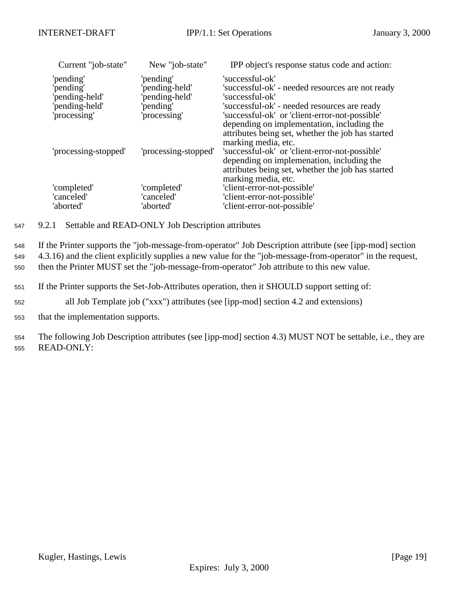<span id="page-18-0"></span>

| Current "job-state"                                       | New "job-state"                                           | IPP object's response status code and action:                                                                                                                            |
|-----------------------------------------------------------|-----------------------------------------------------------|--------------------------------------------------------------------------------------------------------------------------------------------------------------------------|
| 'pending'<br>'pending'<br>pending-held'<br>'pending-held' | 'pending'<br>'pending-held'<br>pending-held'<br>'pending' | 'successful-ok'<br>'successful-ok' - needed resources are not ready<br>'successful-ok'<br>'successful-ok' - needed resources are ready                                   |
| 'processing'                                              | processing'                                               | 'successful-ok' or 'client-error-not-possible'<br>depending on implementation, including the<br>attributes being set, whether the job has started<br>marking media, etc. |
| 'processing-stopped'                                      | 'processing-stopped'                                      | 'successful-ok' or 'client-error-not-possible'<br>depending on implemenation, including the<br>attributes being set, whether the job has started<br>marking media, etc.  |
| 'completed'                                               | 'completed'                                               | 'client-error-not-possible'                                                                                                                                              |
| 'canceled'                                                | 'canceled'                                                | 'client-error-not-possible'                                                                                                                                              |
| 'aborted'                                                 | 'aborted'                                                 | 'client-error-not-possible'                                                                                                                                              |

<sup>547</sup> 9.2.1 Settable and READ-ONLY Job Description attributes

<sup>548</sup> If the Printer supports the "job-message-from-operator" Job Description attribute (see [ipp-mod] section <sup>549</sup> 4.3.16) and the client explicitly supplies a new value for the "job-message-from-operator" in the request, <sup>550</sup> then the Printer MUST set the "job-message-from-operator" Job attribute to this new value.

- <sup>551</sup> If the Printer supports the Set-Job-Attributes operation, then it SHOULD support setting of:
- <sup>552</sup> all Job Template job ("xxx") attributes (see [ipp-mod] section 4.2 and extensions)
- <sup>553</sup> that the implementation supports.

<sup>554</sup> The following Job Description attributes (see [ipp-mod] section 4.3) MUST NOT be settable, i.e., they are <sup>555</sup> READ-ONLY: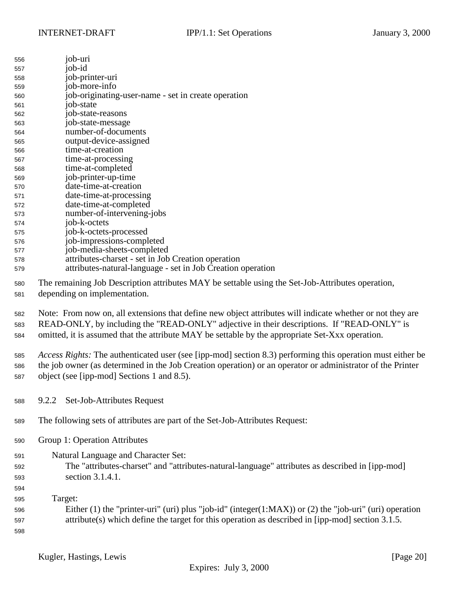<span id="page-19-0"></span>

| 556 | job-uri                                                     |
|-----|-------------------------------------------------------------|
| 557 | job-id                                                      |
| 558 | job-printer-uri                                             |
| 559 | job-more-info                                               |
| 560 | job-originating-user-name - set in create operation         |
| 561 | job-state                                                   |
| 562 | job-state-reasons                                           |
| 563 | job-state-message                                           |
| 564 | number-of-documents                                         |
| 565 | output-device-assigned                                      |
| 566 | time-at-creation                                            |
| 567 | time-at-processing                                          |
| 568 | time-at-completed                                           |
| 569 | job-printer-up-time                                         |
| 570 | date-time-at-creation                                       |
| 571 | date-time-at-processing                                     |
| 572 | date-time-at-completed                                      |
| 573 | number-of-intervening-jobs                                  |
| 574 | job-k-octets                                                |
| 575 | job-k-octets-processed                                      |
| 576 | job-impressions-completed                                   |
| 577 | job-media-sheets-completed                                  |
| 578 | attributes-charset - set in Job Creation operation          |
| 579 | attributes-natural-language - set in Job Creation operation |
|     |                                                             |

 The remaining Job Description attributes MAY be settable using the Set-Job-Attributes operation, depending on implementation.

 Note: From now on, all extensions that define new object attributes will indicate whether or not they are READ-ONLY, by including the "READ-ONLY" adjective in their descriptions. If "READ-ONLY" is omitted, it is assumed that the attribute MAY be settable by the appropriate Set-Xxx operation.

 *Access Rights:* The authenticated user (see [ipp-mod] section 8.3) performing this operation must either be the job owner (as determined in the Job Creation operation) or an operator or administrator of the Printer object (see [ipp-mod] Sections 1 and 8.5).

- 9.2.2 Set-Job-Attributes Request
- The following sets of attributes are part of the Set-Job-Attributes Request:
- Group 1: Operation Attributes

| Natural Language and Character Set:<br>591 |  |
|--------------------------------------------|--|
|--------------------------------------------|--|

 The "attributes-charset" and "attributes-natural-language" attributes as described in [ipp-mod] section 3.1.4.1.

 Target:

 Either (1) the "printer-uri" (uri) plus "job-id" (integer(1:MAX)) or (2) the "job-uri" (uri) operation attribute(s) which define the target for this operation as described in [ipp-mod] section 3.1.5.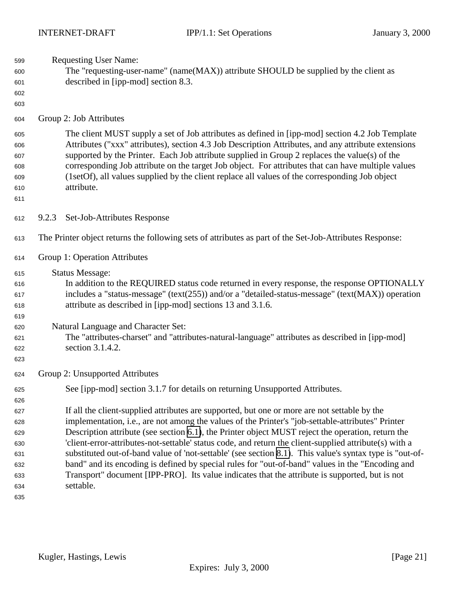- <span id="page-20-0"></span>Requesting User Name:
- The "requesting-user-name" (name(MAX)) attribute SHOULD be supplied by the client as described in [ipp-mod] section 8.3.
- 
- 
- Group 2: Job Attributes

 The client MUST supply a set of Job attributes as defined in [ipp-mod] section 4.2 Job Template Attributes ("xxx" attributes), section 4.3 Job Description Attributes, and any attribute extensions supported by the Printer. Each Job attribute supplied in Group 2 replaces the value(s) of the corresponding Job attribute on the target Job object. For attributes that can have multiple values (1setOf), all values supplied by the client replace all values of the corresponding Job object attribute.

- 9.2.3 Set-Job-Attributes Response
- The Printer object returns the following sets of attributes as part of the Set-Job-Attributes Response:
- Group 1: Operation Attributes
- Status Message:
- In addition to the REQUIRED status code returned in every response, the response OPTIONALLY includes a "status-message" (text(255)) and/or a "detailed-status-message" (text(MAX)) operation attribute as described in [ipp-mod] sections 13 and 3.1.6.
- Natural Language and Character Set:
- The "attributes-charset" and "attributes-natural-language" attributes as described in [ipp-mod] section 3.1.4.2.
- Group 2: Unsupported Attributes

See [ipp-mod] section 3.1.7 for details on returning Unsupported Attributes.

 If all the client-supplied attributes are supported, but one or more are not settable by the implementation, i.e., are not among the values of the Printer's "job-settable-attributes" Printer Description attribute (see section [6.1\)](#page-10-0), the Printer object MUST reject the operation, return the 'client-error-attributes-not-settable' status code, and return the client-supplied attribute(s) with a substituted out-of-band value of 'not-settable' (see section [8.1\)](#page-12-0). This value's syntax type is "out-of- band" and its encoding is defined by special rules for "out-of-band" values in the "Encoding and Transport" document [IPP-PRO]. Its value indicates that the attribute is supported, but is not settable.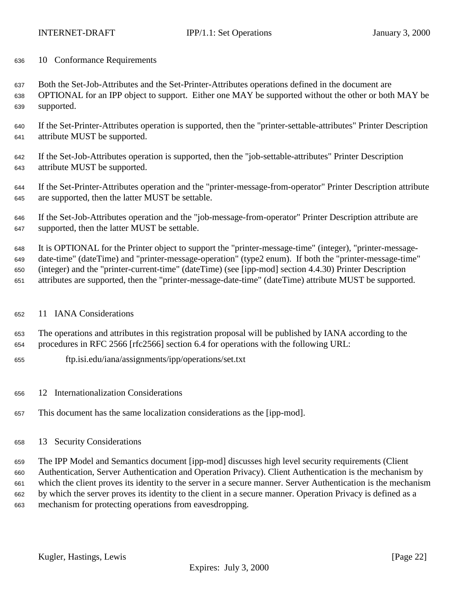<span id="page-21-0"></span>10 Conformance Requirements

 Both the Set-Job-Attributes and the Set-Printer-Attributes operations defined in the document are OPTIONAL for an IPP object to support. Either one MAY be supported without the other or both MAY be

supported.

- If the Set-Printer-Attributes operation is supported, then the "printer-settable-attributes" Printer Description attribute MUST be supported.
- If the Set-Job-Attributes operation is supported, then the "job-settable-attributes" Printer Description attribute MUST be supported.
- If the Set-Printer-Attributes operation and the "printer-message-from-operator" Printer Description attribute are supported, then the latter MUST be settable.
- If the Set-Job-Attributes operation and the "job-message-from-operator" Printer Description attribute are supported, then the latter MUST be settable.

 It is OPTIONAL for the Printer object to support the "printer-message-time" (integer), "printer-message- date-time" (dateTime) and "printer-message-operation" (type2 enum). If both the "printer-message-time" (integer) and the "printer-current-time" (dateTime) (see [ipp-mod] section 4.4.30) Printer Description attributes are supported, then the "printer-message-date-time" (dateTime) attribute MUST be supported.

## 11 IANA Considerations

 The operations and attributes in this registration proposal will be published by IANA according to the procedures in RFC 2566 [rfc2566] section 6.4 for operations with the following URL:

- ftp.isi.edu/iana/assignments/ipp/operations/set.txt
- 12 Internationalization Considerations
- This document has the same localization considerations as the [ipp-mod].
- 13 Security Considerations

 The IPP Model and Semantics document [ipp-mod] discusses high level security requirements (Client Authentication, Server Authentication and Operation Privacy). Client Authentication is the mechanism by which the client proves its identity to the server in a secure manner. Server Authentication is the mechanism by which the server proves its identity to the client in a secure manner. Operation Privacy is defined as a mechanism for protecting operations from eavesdropping.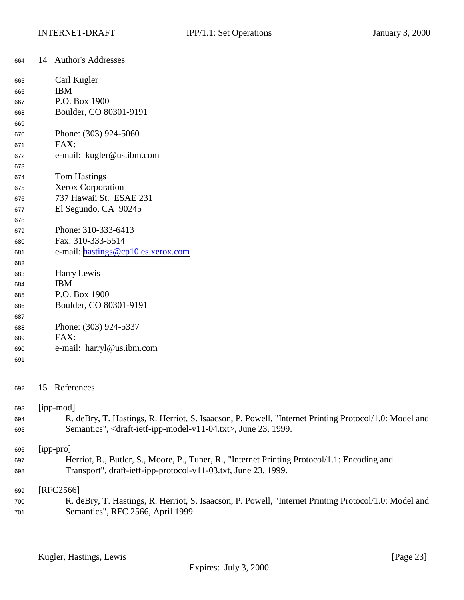<span id="page-22-0"></span>

| 664 | 14                                                                                           | <b>Author's Addresses</b>                                                                             |  |
|-----|----------------------------------------------------------------------------------------------|-------------------------------------------------------------------------------------------------------|--|
| 665 |                                                                                              | Carl Kugler                                                                                           |  |
| 666 |                                                                                              | <b>IBM</b>                                                                                            |  |
| 667 |                                                                                              | P.O. Box 1900                                                                                         |  |
| 668 |                                                                                              | Boulder, CO 80301-9191                                                                                |  |
| 669 |                                                                                              |                                                                                                       |  |
| 670 |                                                                                              | Phone: (303) 924-5060                                                                                 |  |
| 671 |                                                                                              | FAX:                                                                                                  |  |
| 672 |                                                                                              | e-mail: kugler@us.ibm.com                                                                             |  |
| 673 |                                                                                              |                                                                                                       |  |
| 674 |                                                                                              | <b>Tom Hastings</b>                                                                                   |  |
| 675 |                                                                                              | Xerox Corporation                                                                                     |  |
| 676 |                                                                                              | 737 Hawaii St. ESAE 231                                                                               |  |
| 677 |                                                                                              | El Segundo, CA 90245                                                                                  |  |
| 678 |                                                                                              |                                                                                                       |  |
| 679 |                                                                                              | Phone: 310-333-6413                                                                                   |  |
| 680 |                                                                                              | Fax: 310-333-5514                                                                                     |  |
| 681 |                                                                                              | e-mail: hastings@cp10.es.xerox.com                                                                    |  |
| 682 |                                                                                              |                                                                                                       |  |
| 683 |                                                                                              | Harry Lewis                                                                                           |  |
| 684 |                                                                                              | <b>IBM</b>                                                                                            |  |
| 685 |                                                                                              | P.O. Box 1900                                                                                         |  |
| 686 |                                                                                              | Boulder, CO 80301-9191                                                                                |  |
| 687 |                                                                                              |                                                                                                       |  |
| 688 |                                                                                              | Phone: (303) 924-5337                                                                                 |  |
| 689 |                                                                                              | FAX:                                                                                                  |  |
| 690 |                                                                                              | e-mail: harryl@us.ibm.com                                                                             |  |
| 691 |                                                                                              |                                                                                                       |  |
| 692 |                                                                                              | 15 References                                                                                         |  |
| 693 |                                                                                              | [ipp-mod]                                                                                             |  |
| 694 |                                                                                              | R. deBry, T. Hastings, R. Herriot, S. Isaacson, P. Powell, "Internet Printing Protocol/1.0: Model and |  |
| 695 |                                                                                              | Semantics", <draft-ietf-ipp-model-v11-04.txt>, June 23, 1999.</draft-ietf-ipp-model-v11-04.txt>       |  |
| 696 |                                                                                              | [ipp-pro]                                                                                             |  |
| 697 | Herriot, R., Butler, S., Moore, P., Tuner, R., "Internet Printing Protocol/1.1: Encoding and |                                                                                                       |  |
| 698 |                                                                                              | Transport", draft-ietf-ipp-protocol-v11-03.txt, June 23, 1999.                                        |  |
| 699 |                                                                                              | $[RFC2566]$                                                                                           |  |
| 700 |                                                                                              | R. deBry, T. Hastings, R. Herriot, S. Isaacson, P. Powell, "Internet Printing Protocol/1.0: Model and |  |
| 701 |                                                                                              | Semantics", RFC 2566, April 1999.                                                                     |  |